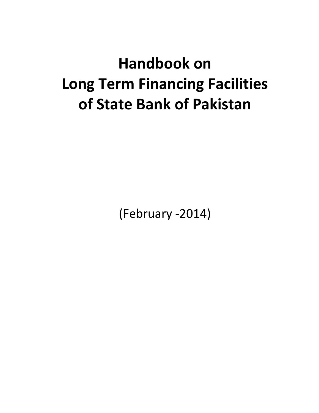# **Handbook on Long Term Financing Facilities of State Bank of Pakistan**

(February ‐2014)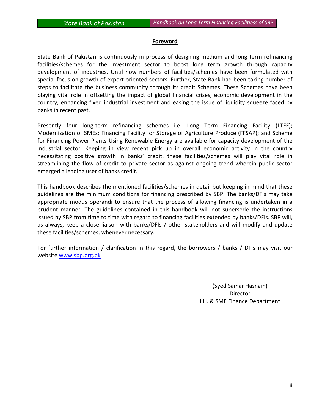#### **Foreword**

State Bank of Pakistan is continuously in process of designing medium and long term refinancing facilities/schemes for the investment sector to boost long term growth through capacity development of industries. Until now numbers of facilities/schemes have been formulated with special focus on growth of export oriented sectors. Further, State Bank had been taking number of steps to facilitate the business community through its credit Schemes. These Schemes have been playing vital role in offsetting the impact of global financial crises, economic development in the country, enhancing fixed industrial investment and easing the issue of liquidity squeeze faced by banks in recent past.

Presently four long-term refinancing schemes i.e. Long Term Financing Facility (LTFF); Modernization of SMEs; Financing Facility for Storage of Agriculture Produce (FFSAP); and Scheme for Financing Power Plants Using Renewable Energy are available for capacity development of the industrial sector. Keeping in view recent pick up in overall economic activity in the country necessitating positive growth in banks' credit, these facilities/schemes will play vital role in streamlining the flow of credit to private sector as against ongoing trend wherein public sector emerged a leading user of banks credit.

This handbook describes the mentioned facilities/schemes in detail but keeping in mind that these guidelines are the minimum conditions for financing prescribed by SBP. The banks/DFIs may take appropriate modus operandi to ensure that the process of allowing financing is undertaken in a prudent manner. The guidelines contained in this handbook will not supersede the instructions issued by SBP from time to time with regard to financing facilities extended by banks/DFIs. SBP will, as always, keep a close liaison with banks/DFIs / other stakeholders and will modify and update these facilities/schemes, whenever necessary.

For further information / clarification in this regard, the borrowers / banks / DFIs may visit our website www.sbp.org.pk

> (Syed Samar Hasnain) Director I.H. & SME Finance Department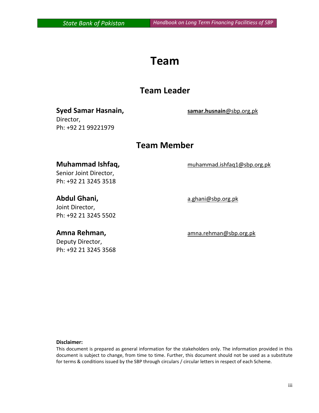# **Team**

## **Team Leader**

#### **Syed Samar Hasnain, samar.husnain**@sbp.org.pk Director,

Ph: +92 21 99221979

# **Team Member**

#### **Muhammad Ishfaq,** muhammad.ishfaq1@sbp.org.pk

Senior Joint Director, Ph: +92 21 3245 3518

Joint Director, Ph: +92 21 3245 5502

Deputy Director, Ph: +92 21 3245 3568

Abdul Ghani, a.ghani@sbp.org.pk

**Amna Rehman,** amna.rehman@sbp.org.pk

#### **Disclaimer:**

This document is prepared as general information for the stakeholders only. The information provided in this document is subject to change, from time to time. Further, this document should not be used as a substitute for terms & conditions issued by the SBP through circulars / circular letters in respect of each Scheme.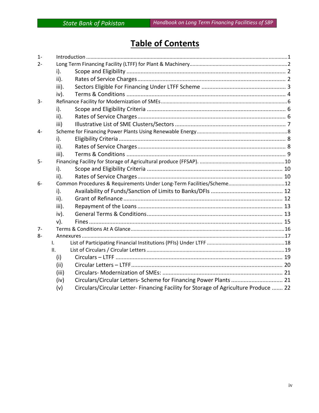# **Table of Contents**

| $1 -$ |                 |                                                                                     |  |  |
|-------|-----------------|-------------------------------------------------------------------------------------|--|--|
| $2 -$ |                 |                                                                                     |  |  |
|       | i).             |                                                                                     |  |  |
|       | $\mathsf{ii}$ . |                                                                                     |  |  |
|       | iii).           |                                                                                     |  |  |
|       | iv).            |                                                                                     |  |  |
| $3-$  |                 |                                                                                     |  |  |
|       | $i$ ).          |                                                                                     |  |  |
|       | $\mathsf{ii}$ . |                                                                                     |  |  |
|       | iii)            |                                                                                     |  |  |
| $4-$  |                 |                                                                                     |  |  |
|       | $i$ ).          |                                                                                     |  |  |
|       | $\mathsf{ii}$ . |                                                                                     |  |  |
|       | iii).           |                                                                                     |  |  |
| $5-$  |                 |                                                                                     |  |  |
|       | $i$ ).          |                                                                                     |  |  |
|       | $\mathsf{ii}$ . |                                                                                     |  |  |
| $6-$  |                 | Common Procedures & Requirements Under Long-Term Facilities/Scheme12                |  |  |
|       | i).             |                                                                                     |  |  |
|       | $\mathsf{ii}$ . |                                                                                     |  |  |
|       | iii).           |                                                                                     |  |  |
|       | iv).            |                                                                                     |  |  |
|       | $v$ ).          |                                                                                     |  |  |
| $7-$  |                 |                                                                                     |  |  |
| 8-    |                 |                                                                                     |  |  |
|       | L.              |                                                                                     |  |  |
|       | II.             |                                                                                     |  |  |
|       | (i)             |                                                                                     |  |  |
|       | (ii)            |                                                                                     |  |  |
|       | (iii)           |                                                                                     |  |  |
|       | (iv)            | Circulars/Circular Letters- Scheme for Financing Power Plants  21                   |  |  |
|       | (v)             | Circulars/Circular Letter-Financing Facility for Storage of Agriculture Produce  22 |  |  |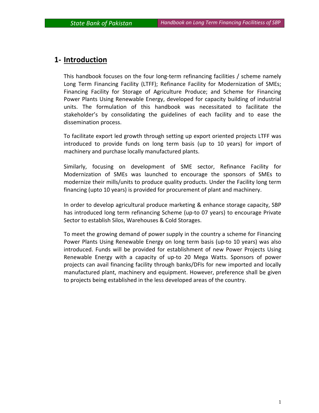#### **1‐ Introduction**

This handbook focuses on the four long‐term refinancing facilities / scheme namely Long Term Financing Facility (LTFF); Refinance Facility for Modernization of SMEs; Financing Facility for Storage of Agriculture Produce; and Scheme for Financing Power Plants Using Renewable Energy, developed for capacity building of industrial units. The formulation of this handbook was necessitated to facilitate the stakeholder's by consolidating the guidelines of each facility and to ease the dissemination process.

To facilitate export led growth through setting up export oriented projects LTFF was introduced to provide funds on long term basis (up to 10 years) for import of machinery and purchase locally manufactured plants.

Similarly, focusing on development of SME sector, Refinance Facility for Modernization of SMEs was launched to encourage the sponsors of SMEs to modernize their mills/units to produce quality products. Under the Facility long term financing (upto 10 years) is provided for procurement of plant and machinery.

In order to develop agricultural produce marketing & enhance storage capacity, SBP has introduced long term refinancing Scheme (up‐to 07 years) to encourage Private Sector to establish Silos, Warehouses & Cold Storages.

To meet the growing demand of power supply in the country a scheme for Financing Power Plants Using Renewable Energy on long term basis (up‐to 10 years) was also introduced. Funds will be provided for establishment of new Power Projects Using Renewable Energy with a capacity of up‐to 20 Mega Watts. Sponsors of power projects can avail financing facility through banks/DFIs for new imported and locally manufactured plant, machinery and equipment. However, preference shall be given to projects being established in the less developed areas of the country.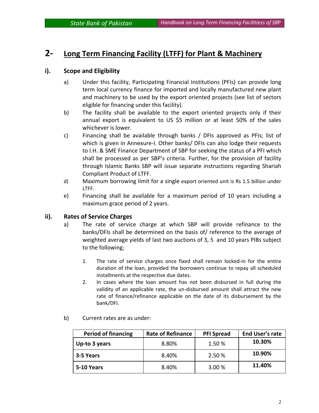#### **2‐ Long Term Financing Facility (LTFF) for Plant & Machinery**

#### **i). Scope and Eligibility**

- a) Under this facility, Participating Financial Institutions (PFIs) can provide long term local currency finance for imported and locally manufactured new plant and machinery to be used by the export oriented projects (see list of sectors eligible for financing under this facility).
- b) The facility shall be available to the export oriented projects only if their annual export is equivalent to US \$5 million or at least 50% of the sales whichever is lower.
- c) Financing shall be available through banks / DFIs approved as PFIs; list of which is given in Annexure-I. Other banks/ DFIs can also lodge their requests to I.H. & SME Finance Department of SBP for seeking the status of a PFI which shall be processed as per SBP's criteria. Further, for the provision of facility through Islamic Banks SBP will issue separate instructions regarding Shariah Compliant Product of LTFF.
- d) Maximum borrowing limit for a single export oriented unit is Rs 1.5 billion under LTFF.
- e) Financing shall be available for a maximum period of 10 years including a maximum grace period of 2 years.

#### **ii). Rates of Service Charges**

- a) The rate of service charge at which SBP will provide refinance to the banks/DFIs shall be determined on the basis of/ reference to the average of weighted average yields of last two auctions of 3, 5 and 10 years PIBs subject to the following;
	- 1. The rate of service charges once fixed shall remain locked-in for the entire duration of the loan, provided the borrowers continue to repay all scheduled installments at the respective due dates.
	- 2. In cases where the loan amount has not been disbursed in full during the validity of an applicable rate, the un‐disbursed amount shall attract the new rate of finance/refinance applicable on the date of its disbursement by the bank/DFI.

| <b>Period of financing</b> | <b>Rate of Refinance</b> | <b>PFI Spread</b> | <b>End User's rate</b> |
|----------------------------|--------------------------|-------------------|------------------------|
| Up-to 3 years              | 8.80%                    | 1.50 %            | 10.30%                 |
| 3-5 Years                  | 8.40%                    | 2.50 %            | 10.90%                 |
| 5-10 Years                 | 8.40%                    | 3.00 %            | 11.40%                 |

b) Current rates are as under: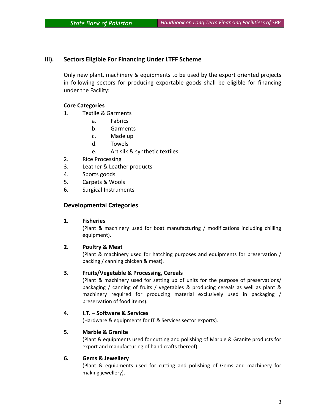#### **iii). Sectors Eligible For Financing Under LTFF Scheme**

Only new plant, machinery & equipments to be used by the export oriented projects in following sectors for producing exportable goods shall be eligible for financing under the Facility:

#### **Core Categories**

- 1. Textile & Garments
	- a. Fabrics
	- b. Garments
	- c. Made up
	- d. Towels
	- e. Art silk & synthetic textiles
- 2. Rice Processing
- 3. Leather & Leather products
- 4. Sports goods
- 5. Carpets & Wools
- 6. Surgical Instruments

#### **Developmental Categories**

#### **1. Fisheries**

(Plant & machinery used for boat manufacturing / modifications including chilling equipment).

#### **2. Poultry & Meat**

(Plant & machinery used for hatching purposes and equipments for preservation / packing / canning chicken & meat).

#### **3. Fruits/Vegetable & Processing, Cereals**

(Plant & machinery used for setting up of units for the purpose of preservations/ packaging / canning of fruits / vegetables & producing cereals as well as plant & machinery required for producing material exclusively used in packaging / preservation of food items).

#### **4. I.T. – Software & Services**

(Hardware & equipments for IT & Services sector exports).

#### **5. Marble & Granite**

(Plant & equipments used for cutting and polishing of Marble & Granite products for export and manufacturing of handicrafts thereof).

#### **6. Gems & Jewellery**

 (Plant & equipments used for cutting and polishing of Gems and machinery for making jewellery).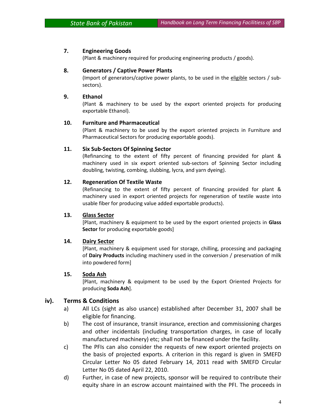#### **7. Engineering Goods**

(Plant & machinery required for producing engineering products / goods).

#### **8. Generators / Captive Power Plants**

(Import of generators/captive power plants, to be used in the eligible sectors / sub‐ sectors).

#### **9. Ethanol**

(Plant & machinery to be used by the export oriented projects for producing exportable Ethanol).

#### **10. Furniture and Pharmaceutical**

(Plant & machinery to be used by the export oriented projects in Furniture and Pharmaceutical Sectors for producing exportable goods).

#### **11. Six Sub‐Sectors Of Spinning Sector**

(Refinancing to the extent of fifty percent of financing provided for plant & machinery used in six export oriented sub‐sectors of Spinning Sector including doubling, twisting, combing, slubbing, lycra, and yarn dyeing).

#### **12. Regeneration Of Textile Waste**

(Refinancing to the extent of fifty percent of financing provided for plant & machinery used in export oriented projects for regeneration of textile waste into usable fiber for producing value added exportable products).

#### **13. Glass Sector**

[Plant, machinery & equipment to be used by the export oriented projects in **Glass Sector** for producing exportable goods]

#### **14. Dairy Sector**

[Plant, machinery & equipment used for storage, chilling, processing and packaging of **Dairy Products** including machinery used in the conversion / preservation of milk into powdered form]

#### **15. Soda Ash**

[Plant, machinery & equipment to be used by the Export Oriented Projects for producing **Soda Ash**].

#### **iv). Terms & Conditions**

- a) All LCs (sight as also usance) established after December 31, 2007 shall be eligible for financing.
- b) The cost of insurance, transit insurance, erection and commissioning charges and other incidentals (including transportation charges, in case of locally manufactured machinery) etc; shall not be financed under the facility.
- c) The PFIs can also consider the requests of new export oriented projects on the basis of projected exports. A criterion in this regard is given in SMEFD Circular Letter No 05 dated February 14, 2011 read with SMEFD Circular Letter No 05 dated April 22, 2010.
- d) Further, in case of new projects, sponsor will be required to contribute their equity share in an escrow account maintained with the PFI. The proceeds in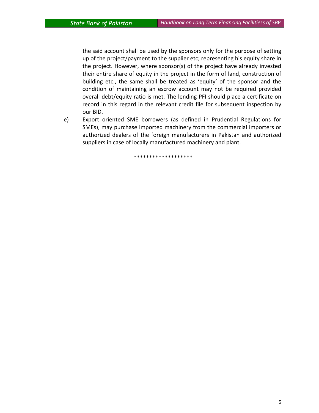the said account shall be used by the sponsors only for the purpose of setting up of the project/payment to the supplier etc; representing his equity share in the project. However, where sponsor(s) of the project have already invested their entire share of equity in the project in the form of land, construction of building etc., the same shall be treated as 'equity' of the sponsor and the condition of maintaining an escrow account may not be required provided overall debt/equity ratio is met. The lending PFI should place a certificate on record in this regard in the relevant credit file for subsequent inspection by our BID.

e) Export oriented SME borrowers (as defined in Prudential Regulations for SMEs), may purchase imported machinery from the commercial importers or authorized dealers of the foreign manufacturers in Pakistan and authorized suppliers in case of locally manufactured machinery and plant.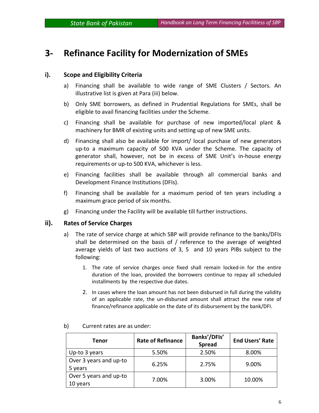# **3‐ Refinance Facility for Modernization of SMEs**

#### **i). Scope and Eligibility Criteria**

- a) Financing shall be available to wide range of SME Clusters / Sectors. An illustrative list is given at Para (iii) below.
- b) Only SME borrowers, as defined in Prudential Regulations for SMEs, shall be eligible to avail financing facilities under the Scheme.
- c) Financing shall be available for purchase of new imported/local plant & machinery for BMR of existing units and setting up of new SME units.
- d) Financing shall also be available for import/ local purchase of new generators up-to a maximum capacity of 500 KVA under the Scheme. The capacity of generator shall, however, not be in excess of SME Unit's in‐house energy requirements or up‐to 500 KVA, whichever is less.
- e) Financing facilities shall be available through all commercial banks and Development Finance Institutions (DFIs).
- f) Financing shall be available for a maximum period of ten years including a maximum grace period of six months.
- g) Financing under the Facility will be available till further instructions.

#### **ii). Rates of Service Charges**

- a) The rate of service charge at which SBP will provide refinance to the banks/DFIs shall be determined on the basis of / reference to the average of weighted average yields of last two auctions of 3, 5 and 10 years PIBs subject to the following:
	- 1. The rate of service charges once fixed shall remain locked‐in for the entire duration of the loan, provided the borrowers continue to repay all scheduled installments by the respective due dates.
	- 2. In cases where the loan amount has not been disbursed in full during the validity of an applicable rate, the un‐disbursed amount shall attract the new rate of finance/refinance applicable on the date of its disbursement by the bank/DFI.

| Tenor                              | <b>Rate of Refinance</b> | Banks'/DFIs'<br><b>Spread</b> | <b>End Users' Rate</b> |
|------------------------------------|--------------------------|-------------------------------|------------------------|
| Up-to 3 years                      | 5.50%                    | 2.50%                         | 8.00%                  |
| Over 3 years and up-to<br>5 years  | 6.25%                    | 2.75%                         | 9.00%                  |
| Over 5 years and up-to<br>10 years | 7.00%                    | 3.00%                         | 10.00%                 |

#### b) Current rates are as under: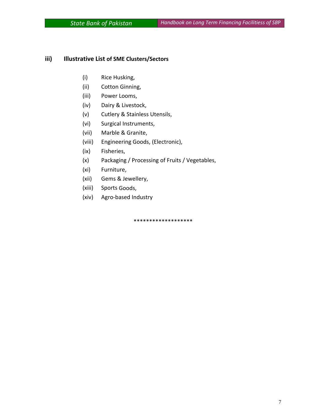#### **iii) Illustrative List of SME Clusters/Sectors**

- (i) Rice Husking,
- (ii) Cotton Ginning,
- (iii) Power Looms,
- (iv) Dairy & Livestock,
- (v) Cutlery & Stainless Utensils,
- (vi) Surgical Instruments,
- (vii) Marble & Granite,
- (viii) Engineering Goods, (Electronic),
- (ix) Fisheries,
- (x) Packaging / Processing of Fruits / Vegetables,
- (xi) Furniture,
- (xii) Gems & Jewellery,
- (xiii) Sports Goods,
- (xiv) Agro‐based Industry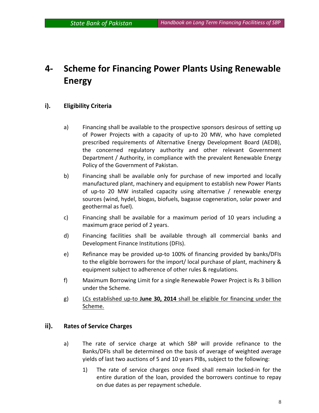# **4‐ Scheme for Financing Power Plants Using Renewable Energy**

#### **i). Eligibility Criteria**

- a) Financing shall be available to the prospective sponsors desirous of setting up of Power Projects with a capacity of up‐to 20 MW, who have completed prescribed requirements of Alternative Energy Development Board (AEDB), the concerned regulatory authority and other relevant Government Department / Authority, in compliance with the prevalent Renewable Energy Policy of the Government of Pakistan.
- b) Financing shall be available only for purchase of new imported and locally manufactured plant, machinery and equipment to establish new Power Plants of up-to 20 MW installed capacity using alternative / renewable energy sources (wind, hydel, biogas, biofuels, bagasse cogeneration, solar power and geothermal as fuel).
- c) Financing shall be available for a maximum period of 10 years including a maximum grace period of 2 years.
- d) Financing facilities shall be available through all commercial banks and Development Finance Institutions (DFIs).
- e) Refinance may be provided up-to 100% of financing provided by banks/DFIs to the eligible borrowers for the import/ local purchase of plant, machinery & equipment subject to adherence of other rules & regulations.
- f) Maximum Borrowing Limit for a single Renewable Power Project is Rs 3 billion under the Scheme.
- g) LCs established up‐to **June 30, 2014** shall be eligible for financing under the Scheme.

#### **ii). Rates of Service Charges**

- a) The rate of service charge at which SBP will provide refinance to the Banks/DFIs shall be determined on the basis of average of weighted average yields of last two auctions of 5 and 10 years PIBs, subject to the following:
	- 1) The rate of service charges once fixed shall remain locked‐in for the entire duration of the loan, provided the borrowers continue to repay on due dates as per repayment schedule.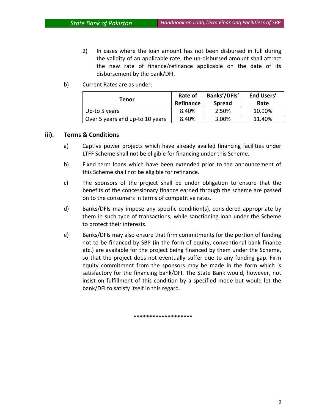- 2) In cases where the loan amount has not been disbursed in full during the validity of an applicable rate, the un‐disbursed amount shall attract the new rate of finance/refinance applicable on the date of its disbursement by the bank/DFI.
- b) Current Rates are as under:

| Tenor                           | Rate of<br>Refinance | Banks'/DFIs'<br><b>Spread</b> | <b>End Users'</b><br>Rate |
|---------------------------------|----------------------|-------------------------------|---------------------------|
| Up-to 5 years                   | 8.40%                | 2.50%                         | 10.90%                    |
| Over 5 years and up-to 10 years | 8.40%                | 3.00%                         | 11.40%                    |

#### **iii). Terms & Conditions**

- a) Captive power projects which have already availed financing facilities under LTFF Scheme shall not be eligible for financing under this Scheme.
- b) Fixed term loans which have been extended prior to the announcement of this Scheme shall not be eligible for refinance.
- c) The sponsors of the project shall be under obligation to ensure that the benefits of the concessionary finance earned through the scheme are passed on to the consumers in terms of competitive rates.
- d) Banks/DFIs may impose any specific condition(s), considered appropriate by them in such type of transactions, while sanctioning loan under the Scheme to protect their interests.
- e) Banks/DFIs may also ensure that firm commitments for the portion of funding not to be financed by SBP (in the form of equity, conventional bank finance etc.) are available for the project being financed by them under the Scheme, so that the project does not eventually suffer due to any funding gap. Firm equity commitment from the sponsors may be made in the form which is satisfactory for the financing bank/DFI. The State Bank would, however, not insist on fulfillment of this condition by a specified mode but would let the bank/DFI to satisfy itself in this regard.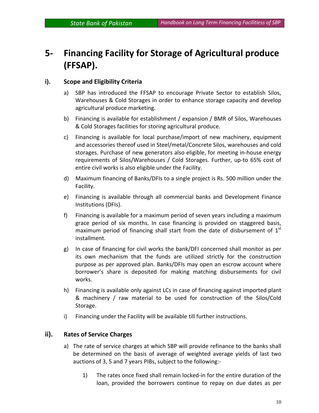# **5‐ Financing Facility for Storage of Agricultural produce (FFSAP).**

#### **i). Scope and Eligibility Criteria**

- a) SBP has introduced the FFSAP to encourage Private Sector to establish Silos, Warehouses & Cold Storages in order to enhance storage capacity and develop agricultural produce marketing.
- b) Financing is available for establishment / expansion / BMR of Silos, Warehouses & Cold Storages facilities for storing agricultural produce.
- c) Financing is available for local purchase/import of new machinery, equipment and accessories thereof used in Steel/metal/Concrete Silos, warehouses and cold storages. Purchase of new generators also eligible, for meeting in‐house energy requirements of Silos/Warehouses / Cold Storages. Further, up‐to 65% cost of entire civil works is also eligible under the Facility.
- d) Maximum financing of Banks/DFIs to a single project is Rs. 500 million under the Facility.
- e) Financing is available through all commercial banks and Development Finance Institutions (DFIs).
- f) Financing is available for a maximum period of seven years including a maximum grace period of six months. In case financing is provided on staggered basis, maximum period of financing shall start from the date of disbursement of  $1<sup>st</sup>$ installment.
- g) In case of financing for civil works the bank/DFI concerned shall monitor as per its own mechanism that the funds are utilized strictly for the construction purpose as per approved plan. Banks/DFIs may open an escrow account where borrower's share is deposited for making matching disbursements for civil works.
- h) Financing is available only against LCs in case of financing against imported plant & machinery / raw material to be used for construction of the Silos/Cold Storage.
- i) Financing under the Facility will be available till further instructions.

#### **ii). Rates of Service Charges**

- a) The rate of service charges at which SBP will provide refinance to the banks shall be determined on the basis of average of weighted average yields of last two auctions of 3, 5 and 7 years PIBs, subject to the following:‐
	- 1) The rates once fixed shall remain locked‐in for the entire duration of the loan, provided the borrowers continue to repay on due dates as per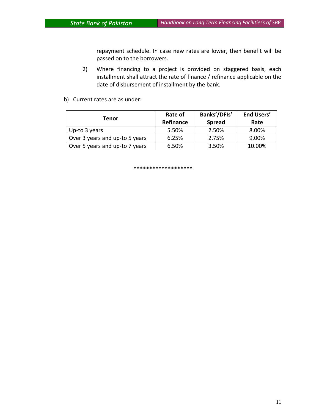repayment schedule. In case new rates are lower, then benefit will be passed on to the borrowers.

- 2) Where financing to a project is provided on staggered basis, each installment shall attract the rate of finance / refinance applicable on the date of disbursement of installment by the bank.
- b) Current rates are as under:

| Tenor                          | Rate of   | Banks'/DFIs'  | <b>End Users'</b> |
|--------------------------------|-----------|---------------|-------------------|
|                                | Refinance | <b>Spread</b> | Rate              |
| Up-to 3 years                  | 5.50%     | 2.50%         | 8.00%             |
| Over 3 years and up-to 5 years | 6.25%     | 2.75%         | 9.00%             |
| Over 5 years and up-to 7 years | 6.50%     | 3.50%         | 10.00%            |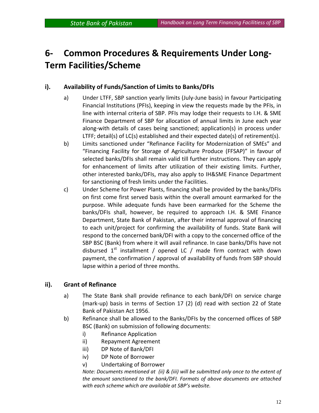# **6‐ Common Procedures & Requirements Under Long‐ Term Facilities/Scheme**

#### **i). Availability of Funds/Sanction of Limits to Banks/DFIs**

- a) Under LTFF, SBP sanction yearly limits (July‐June basis) in favour Participating Financial Institutions (PFIs), keeping in view the requests made by the PFIs, in line with internal criteria of SBP. PFIs may lodge their requests to I.H. & SME Finance Department of SBP for allocation of annual limits in June each year along‐with details of cases being sanctioned; application(s) in process under LTFF; detail(s) of LC(s) established and their expected date(s) of retirement(s).
- b) Limits sanctioned under "Refinance Facility for Modernization of SMEs" and "Financing Facility for Storage of Agriculture Produce (FFSAP)" in favour of selected banks/DFIs shall remain valid till further instructions. They can apply for enhancement of limits after utilization of their existing limits. Further, other interested banks/DFIs, may also apply to IH&SME Finance Department for sanctioning of fresh limits under the Facilities.
- c) Under Scheme for Power Plants, financing shall be provided by the banks/DFIs on first come first served basis within the overall amount earmarked for the purpose. While adequate funds have been earmarked for the Scheme the banks/DFIs shall, however, be required to approach I.H. & SME Finance Department, State Bank of Pakistan, after their internal approval of financing to each unit/project for confirming the availability of funds. State Bank will respond to the concerned bank/DFI with a copy to the concerned office of the SBP BSC (Bank) from where it will avail refinance. In case banks/DFIs have not disbursed  $1^{st}$  installment / opened LC / made firm contract with down payment, the confirmation / approval of availability of funds from SBP should lapse within a period of three months.

#### **ii). Grant of Refinance**

- a) The State Bank shall provide refinance to each bank/DFI on service charge (mark‐up) basis in terms of Section 17 (2) (d) read with section 22 of State Bank of Pakistan Act 1956.
- b) Refinance shall be allowed to the Banks/DFIs by the concerned offices of SBP BSC (Bank) on submission of following documents:
	- i) Refinance Application
	- ii) Repayment Agreement
	- iii) DP Note of Bank/DFI
	- iv) DP Note of Borrower
	- v) Undertaking of Borrower

*Note: Documents mentioned at (ii) & (iii) will be submitted only once to the extent of the amount sanctioned to the bank/DFI. Formats of above documents are attached with each scheme which are available at SBP's website.*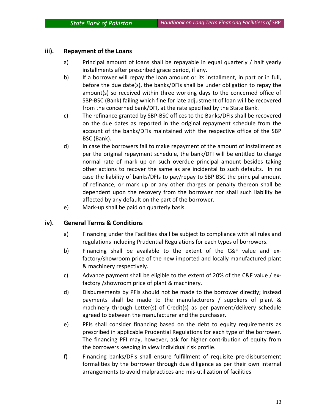#### **iii). Repayment of the Loans**

- a) Principal amount of loans shall be repayable in equal quarterly / half yearly installments after prescribed grace period, if any.
- b) If a borrower will repay the loan amount or its installment, in part or in full, before the due date(s), the banks/DFIs shall be under obligation to repay the amount(s) so received within three working days to the concerned office of SBP‐BSC (Bank) failing which fine for late adjustment of loan will be recovered from the concerned bank/DFI, at the rate specified by the State Bank.
- c) The refinance granted by SBP‐BSC offices to the Banks/DFIs shall be recovered on the due dates as reported in the original repayment schedule from the account of the banks/DFIs maintained with the respective office of the SBP BSC (Bank).
- d) In case the borrowers fail to make repayment of the amount of installment as per the original repayment schedule, the bank/DFI will be entitled to charge normal rate of mark up on such overdue principal amount besides taking other actions to recover the same as are incidental to such defaults. In no case the liability of banks/DFIs to pay/repay to SBP BSC the principal amount of refinance, or mark up or any other charges or penalty thereon shall be dependent upon the recovery from the borrower nor shall such liability be affected by any default on the part of the borrower.
- e) Mark‐up shall be paid on quarterly basis.

#### **iv). General Terms & Conditions**

- a) Financing under the Facilities shall be subject to compliance with all rules and regulations including Prudential Regulations for each types of borrowers.
- b) Financing shall be available to the extent of the C&F value and exfactory/showroom price of the new imported and locally manufactured plant & machinery respectively.
- c) Advance payment shall be eligible to the extent of 20% of the C&F value / ex‐ factory /showroom price of plant & machinery.
- d) Disbursements by PFIs should not be made to the borrower directly; instead payments shall be made to the manufacturers / suppliers of plant & machinery through Letter(s) of Credit(s) as per payment/delivery schedule agreed to between the manufacturer and the purchaser.
- e) PFIs shall consider financing based on the debt to equity requirements as prescribed in applicable Prudential Regulations for each type of the borrower. The financing PFI may, however, ask for higher contribution of equity from the borrowers keeping in view individual risk profile.
- f) Financing banks/DFIs shall ensure fulfillment of requisite pre‐disbursement formalities by the borrower through due diligence as per their own internal arrangements to avoid malpractices and mis‐utilization of facilities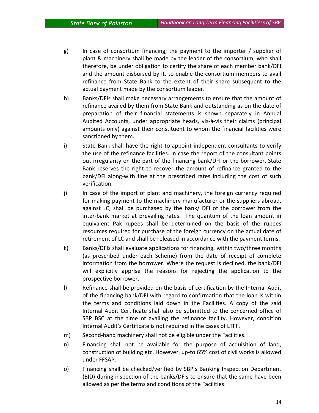- g) In case of consortium financing, the payment to the importer / supplier of plant & machinery shall be made by the leader of the consortium, who shall therefore, be under obligation to certify the share of each member bank/DFI and the amount disbursed by it, to enable the consortium members to avail refinance from State Bank to the extent of their share subsequent to the actual payment made by the consortium leader.
- h) Banks/DFIs shall make necessary arrangements to ensure that the amount of refinance availed by them from State Bank and outstanding as on the date of preparation of their financial statements is shown separately in Annual Audited Accounts, under appropriate heads, vis‐à‐vis their claims (principal amounts only) against their constituent to whom the financial facilities were sanctioned by them.
- i) State Bank shall have the right to appoint independent consultants to verify the use of the refinance facilities. In case the report of the consultant points out irregularity on the part of the financing bank/DFI or the borrower, State Bank reserves the right to recover the amount of refinance granted to the bank/DFI along‐with fine at the prescribed rates including the cost of such verification.
- j) In case of the import of plant and machinery, the foreign currency required for making payment to the machinery manufacturer or the suppliers abroad, against LC, shall be purchased by the bank/ DFI of the borrower from the inter-bank market at prevailing rates. The quantum of the loan amount in equivalent Pak rupees shall be determined on the basis of the rupees resources required for purchase of the foreign currency on the actual date of retirement of LC and shall be released in accordance with the payment terms.
- k) Banks/DFIs shall evaluate applications for financing, within two/three months (as prescribed under each Scheme) from the date of receipt of complete information from the borrower. Where the request is declined, the bank/DFI will explicitly apprise the reasons for rejecting the application to the prospective borrower.
- l) Refinance shall be provided on the basis of certification by the Internal Audit of the financing bank/DFI with regard to confirmation that the loan is within the terms and conditions laid down in the Facilities. A copy of the said Internal Audit Certificate shall also be submitted to the concerned office of SBP BSC at the time of availing the refinance facility. However, condition Internal Audit's Certificate is not required in the cases of LTFF.
- m) Second-hand machinery shall not be eligible under the Facilities.
- n) Financing shall not be available for the purpose of acquisition of land, construction of building etc. However, up‐to 65% cost of civil works is allowed under FFSAP.
- o) Financing shall be checked/verified by SBP's Banking Inspection Department (BID) during inspection of the banks/DFIs to ensure that the same have been allowed as per the terms and conditions of the Facilities.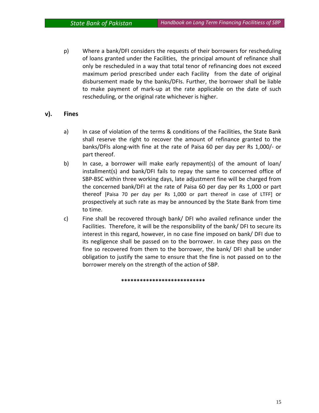p) Where a bank/DFI considers the requests of their borrowers for rescheduling of loans granted under the Facilities, the principal amount of refinance shall only be rescheduled in a way that total tenor of refinancing does not exceed maximum period prescribed under each Facility from the date of original disbursement made by the banks/DFIs. Further, the borrower shall be liable to make payment of mark‐up at the rate applicable on the date of such rescheduling, or the original rate whichever is higher.

#### **v). Fines**

- a) In case of violation of the terms & conditions of the Facilities, the State Bank shall reserve the right to recover the amount of refinance granted to the banks/DFIs along‐with fine at the rate of Paisa 60 per day per Rs 1,000/‐ or part thereof.
- b) In case, a borrower will make early repayment(s) of the amount of loan/ installment(s) and bank/DFI fails to repay the same to concerned office of SBP‐BSC within three working days, late adjustment fine will be charged from the concerned bank/DFI at the rate of Paisa 60 per day per Rs 1,000 or part thereof [Paisa 70 per day per Rs 1,000 or part thereof in case of LTFF] or prospectively at such rate as may be announced by the State Bank from time to time.
- c) Fine shall be recovered through bank/ DFI who availed refinance under the Facilities. Therefore, it will be the responsibility of the bank/ DFI to secure its interest in this regard, however, in no case fine imposed on bank/ DFI due to its negligence shall be passed on to the borrower. In case they pass on the fine so recovered from them to the borrower, the bank/ DFI shall be under obligation to justify the same to ensure that the fine is not passed on to the borrower merely on the strength of the action of SBP.

**\*\*\*\*\*\*\*\*\*\*\*\*\*\*\*\*\*\*\*\*\*\*\*\*\*\*\***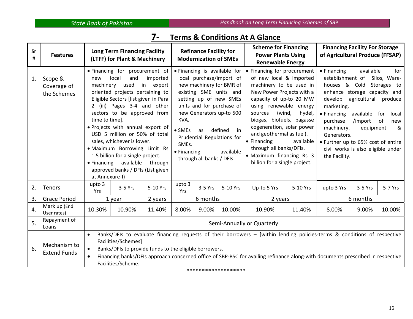#### **7‐ Terms & Conditions At A Glance**

| Sr<br># | <b>Features</b>                       |                                                                                                                                                                                                                                                                                                                                                                                                                                                                                                                                                 | <b>Long Term Financing Facility</b><br>(LTFF) for Plant & Machinery                                 |                                                                                                                                                                                                                                                                                                                                                            | <b>Refinance Facility for</b><br><b>Modernization of SMEs</b> |                                                                                                                                                                                                                                                                                                                                                                                       |                     | <b>Scheme for Financing</b><br><b>Power Plants Using</b><br><b>Renewable Energy</b>                                                                                                                                                                                                 |                                                                | <b>Financing Facility For Storage</b><br>of Agricultural Produce (FFSAP) |         |         |
|---------|---------------------------------------|-------------------------------------------------------------------------------------------------------------------------------------------------------------------------------------------------------------------------------------------------------------------------------------------------------------------------------------------------------------------------------------------------------------------------------------------------------------------------------------------------------------------------------------------------|-----------------------------------------------------------------------------------------------------|------------------------------------------------------------------------------------------------------------------------------------------------------------------------------------------------------------------------------------------------------------------------------------------------------------------------------------------------------------|---------------------------------------------------------------|---------------------------------------------------------------------------------------------------------------------------------------------------------------------------------------------------------------------------------------------------------------------------------------------------------------------------------------------------------------------------------------|---------------------|-------------------------------------------------------------------------------------------------------------------------------------------------------------------------------------------------------------------------------------------------------------------------------------|----------------------------------------------------------------|--------------------------------------------------------------------------|---------|---------|
| 1.      | Scope &<br>Coverage of<br>the Schemes | • Financing for procurement of<br>local<br>and<br>imported<br>new<br>machinery<br>used<br>in<br>export<br>oriented projects pertaining to<br>Eligible Sectors [list given in Para<br>2 (iii) Pages 3-4 and other<br>sectors to be approved from<br>time to time].<br>· Projects with annual export of<br>USD 5 million or 50% of total<br>sales, whichever is lower.<br>· Maximum Borrowing Limit Rs<br>1.5 billion for a single project.<br>available<br>through<br>$\bullet$ Financing<br>approved banks / DFIs (List given<br>at Annexure-I) |                                                                                                     | • Financing is available for<br>local purchase/import of<br>new machinery for BMR of<br>existing SME units and<br>setting up of new SMEs<br>units and for purchase of<br>new Generators up-to 500<br>KVA.<br>defined<br>$\bullet$ SMEs<br>in<br>as<br>Prudential Regulations for<br>SMEs.<br>available<br>$\bullet$ Financing<br>through all banks / DFIs. |                                                               | • Financing for procurement<br>of new local & imported<br>machinery to be used in<br>New Power Projects with a<br>capacity of up-to 20 MW<br>using renewable energy<br>(wind,<br>sources<br>biogas, biofuels, bagasse<br>cogeneration, solar power<br>and geothermal as fuel).<br>• Financing<br>through all banks/DFIs.<br>• Maximum financing Rs 3<br>billion for a single project. | hydel,<br>available | • Financing<br>establishment of Silos, Ware-<br>houses & Cold<br>enhance storage capacity and<br>develop<br>marketing.<br>$\bullet$ Financing<br>purchase<br>machinery,<br>Generators.<br>• Further up to 65% cost of entire<br>civil works is also eligible under<br>the Facility. | available<br>agricultural<br>available<br>/import<br>equipment | for<br>Storages to<br>produce<br>for<br>local<br>of<br>new<br>&          |         |         |
| 2.      | Tenors                                | upto 3<br>Yrs                                                                                                                                                                                                                                                                                                                                                                                                                                                                                                                                   | 3-5 Yrs                                                                                             | 5-10 Yrs                                                                                                                                                                                                                                                                                                                                                   | upto 3<br>Yrs                                                 | 3-5 Yrs                                                                                                                                                                                                                                                                                                                                                                               | 5-10 Yrs            | Up-to 5 Yrs                                                                                                                                                                                                                                                                         | 5-10 Yrs                                                       | upto 3 Yrs                                                               | 3-5 Yrs | 5-7 Yrs |
| 3.      | <b>Grace Period</b>                   |                                                                                                                                                                                                                                                                                                                                                                                                                                                                                                                                                 | 1 year                                                                                              | 2 years                                                                                                                                                                                                                                                                                                                                                    |                                                               | 6 months                                                                                                                                                                                                                                                                                                                                                                              |                     | 2 years                                                                                                                                                                                                                                                                             |                                                                | 6 months                                                                 |         |         |
| 4.      | Mark up (End<br>User rates)           | 10.30%                                                                                                                                                                                                                                                                                                                                                                                                                                                                                                                                          | 10.90%                                                                                              | 11.40%                                                                                                                                                                                                                                                                                                                                                     | 8.00%                                                         | 9.00%                                                                                                                                                                                                                                                                                                                                                                                 | 10.00%              | 10.90%                                                                                                                                                                                                                                                                              | 11.40%                                                         | 8.00%                                                                    | 9.00%   | 10.00%  |
| 5.      | Repayment of<br>Loans                 | Semi-Annually or Quarterly.                                                                                                                                                                                                                                                                                                                                                                                                                                                                                                                     |                                                                                                     |                                                                                                                                                                                                                                                                                                                                                            |                                                               |                                                                                                                                                                                                                                                                                                                                                                                       |                     |                                                                                                                                                                                                                                                                                     |                                                                |                                                                          |         |         |
| 6.      | Mechanism to<br><b>Extend Funds</b>   | $\bullet$                                                                                                                                                                                                                                                                                                                                                                                                                                                                                                                                       | Facilities/Schemes]<br>Banks/DFIs to provide funds to the eligible borrowers.<br>Facilities/Scheme. |                                                                                                                                                                                                                                                                                                                                                            |                                                               |                                                                                                                                                                                                                                                                                                                                                                                       |                     | Banks/DFIs to evaluate financing requests of their borrowers - [within lending policies-terms & conditions of respective<br>Financing banks/DFIs approach concerned office of SBP-BSC for availing refinance along-with documents prescribed in respective                          |                                                                |                                                                          |         |         |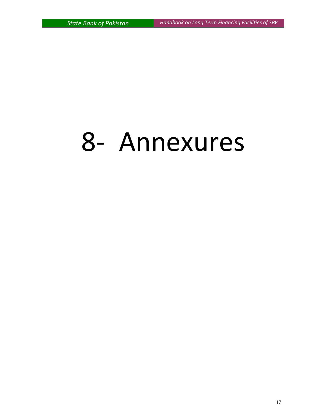# ‐ Annexures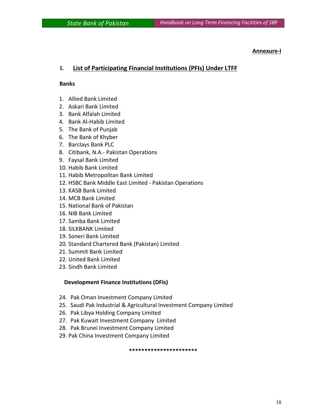## **Annexure-I**<br>【Annexure-I

#### **I. List of Participating Financial Institutions (PFIs) Under LTFF**

#### **Banks**

- 1. Allied Bank Limited
- 2. Askari Bank Limited
- 3. Bank Alfalah Limited
- 4. Bank Al‐Habib Limited
- 5. The Bank of Punjab
- 6. The Bank of Khyber
- 7. Barclays Bank PLC
- 8. Citibank, N.A.‐ Pakistan Operations
- 9. Faysal Bank Limited
- 10. Habib Bank Limited
- 11. Habib Metropolitan Bank Limited
- 12. HSBC Bank Middle East Limited ‐ Pakistan Operations
- 13. KASB Bank Limited
- 14. MCB Bank Limited
- 15. National Bank of Pakistan
- 16. NIB Bank Limited
- 17. Samba Bank Limited
- 18. SILKBANK Limited
- 19. Soneri Bank Limited
- 20. Standard Chartered Bank (Pakistan) Limited
- 21. Summit Bank Limited
- 22. United Bank Limited
- 23. Sindh Bank Limited

#### **Development Finance Institutions (DFIs)**

- 24. Pak Oman Investment Company Limited
- 25. Saudi Pak Industrial & Agricultural Investment Company Limited
- 26. Pak Libya Holding Company Limited
- 27. Pak Kuwait Investment Company Limited
- 28. Pak Brunei Investment Company Limited
- 29. Pak China Investment Company Limited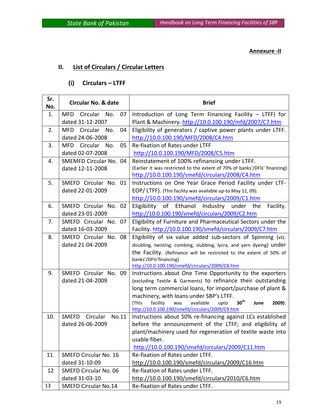#### **Annexure ‐II**

#### **II. List of Circulars / Circular Letters**

#### **(i) Circulars – LTFF**

| Sr.<br>No. | <b>Circular No. &amp; date</b>      | <b>Brief</b>                                                                                                              |
|------------|-------------------------------------|---------------------------------------------------------------------------------------------------------------------------|
| 1.         | <b>MFD</b><br>Circular<br>07<br>No. | Introduction of Long Term Financing Facility - LTFF) for                                                                  |
|            | dated 31-12-2007                    | Plant & Machinery. http://10.0.100.190/mfd/2007/C7.htm                                                                    |
| 2.         | <b>MFD</b><br>Circular<br>No.<br>04 | Eligibility of generators / captive power plants under LTFF.                                                              |
|            | dated 24-06-2008                    | http://10.0.100.190/MFD/2008/C4.htm                                                                                       |
| 3.         | MFD Circular No.<br>05              | Re-fixation of Rates under LTFF                                                                                           |
|            | dated 02-07-2008                    | http://10.0.100.190/MFD/2008/C5.htm                                                                                       |
| 4.         | SMEMFD Circular No. 04              | Reinstatement of 100% refinancing under LTFF.                                                                             |
|            | dated 12-11-2008                    | (Earlier it was restricted to the extent of 70% of banks'/DFIs' financing)                                                |
|            |                                     | http://10.0.100.190/smefd/circulars/2008/C4.htm                                                                           |
| 5.         | SMEFD Circular No. 01               | Instructions on One Year Grace Period Facility under LTF-                                                                 |
|            | dated 22-01-2009                    | EOP/LTFF). (This facility was available up-to May 11, 09).                                                                |
|            |                                     | http://10.0.100.190/smefd/circulars/2009/C1.htm                                                                           |
| 6.         | SMEFD Circular No. 02               | Eligibility of Ethanol Industry under the<br>Facility.                                                                    |
|            | dated 23-01-2009                    | http://10.0.100.190/smefd/circulars/2009/C2.htm                                                                           |
| 7.         | SMEFD Circular No. 07               | Eligibility of Furniture and Pharmaceutical Sectors under the                                                             |
|            | dated 16-03-2009                    | Facility. http://10.0.100.190/smefd/circulars/2009/C7.htm                                                                 |
| 8.         | SMEFD Circular No. 08               | Eligibility of six value added sub-sectors of Spinning (viz.                                                              |
|            | dated 21-04-2009                    | doubling, twisting, combing, slubbing, lycra, and yarn dyeing) under                                                      |
|            |                                     | the Facility. (Refinance will be restricted to the extent of 50% of                                                       |
|            |                                     | banks'/DFIs'financing)                                                                                                    |
| 9.         | SMEFD Circular No. 09               | http://10.0.100.190/smefd/circulars/2009/C8.htm                                                                           |
|            | dated 21-04-2009                    | Instructions about One Time Opportunity to the exporters<br>(excluding Textile & Garments) to refinance their outstanding |
|            |                                     | long term commercial loans, for import/purchase of plant &                                                                |
|            |                                     | machinery, with loans under SBP's LTFF.                                                                                   |
|            |                                     | 30 <sup>th</sup><br>(This<br>facility<br>available<br>2009).<br>upto<br>June<br>was                                       |
|            |                                     | http://10.0.100.190/smefd/circulars/2009/C9.htm                                                                           |
| 10.        | <b>SMEFD</b><br>Circular<br>No.11   | Instructions about 50% re-financing against LCs established                                                               |
|            | dated 26-06-2009                    | before the announcement of the LTFF; and eligibility of                                                                   |
|            |                                     | plant/machinery used for regeneration of textile waste into                                                               |
|            |                                     | usable fiber.                                                                                                             |
|            |                                     | http://10.0.100.190/smefd/circulars/2009/C11.htm                                                                          |
| 11.        | <b>SMEFD Circular No. 16</b>        | Re-fixation of Rates under LTFF.                                                                                          |
|            | dated 31-10-09                      | http://10.0.100.190/smefd/circulars/2009/C16.htm                                                                          |
| 12         | <b>SMEFD Circular No. 06</b>        | Re-fixation of Rates under LTFF.                                                                                          |
|            | dated 31-03-10                      | http://10.0.100.190/smefd/circulars/2010/C6.htm                                                                           |
| 13         | <b>SMEFD Circular No.14</b>         | Re-fixation of Rates under LTFF.                                                                                          |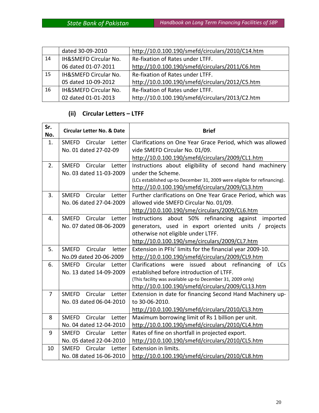|    | dated 30-09-2010      | http://10.0.100.190/smefd/circulars/2010/C14.htm |
|----|-----------------------|--------------------------------------------------|
| 14 | IH&SMEFD Circular No. | Re-fixation of Rates under LTFF.                 |
|    | 06 dated 01-07-2011   | http://10.0.100.190/smefd/circulars/2011/C6.htm  |
| 15 | IH&SMEFD Circular No. | Re-fixation of Rates under LTFF.                 |
|    | 05 dated 10-09-2012   | http://10.0.100.190/smefd/circulars/2012/C5.htm  |
| 16 | IH&SMEFD Circular No. | Re-fixation of Rates under LTFF.                 |
|    | 02 dated 01-01-2013   | http://10.0.100.190/smefd/circulars/2013/C2.htm  |

## **(ii) Circular Letters – LTFF**

| Sr.<br>No.     | <b>Circular Letter No. &amp; Date</b> | <b>Brief</b>                                                             |
|----------------|---------------------------------------|--------------------------------------------------------------------------|
| 1.             | SMEFD Circular Letter                 | Clarifications on One Year Grace Period, which was allowed               |
|                | No. 01 dated 27-02-09                 | vide SMEFD Circular No. 01/09.                                           |
|                |                                       | http://10.0.100.190/smefd/circulars/2009/CL1.htm                         |
| 2.             | SMEFD Circular Letter                 | Instructions about eligibility of second hand machinery                  |
|                | No. 03 dated 11-03-2009               | under the Scheme.                                                        |
|                |                                       | (LCs established up-to December 31, 2009 were eligible for refinancing). |
|                |                                       | http://10.0.100.190/smefd/circulars/2009/CL3.htm                         |
| 3.             | SMEFD Circular Letter                 | Further clarifications on One Year Grace Period, which was               |
|                | No. 06 dated 27-04-2009               | allowed vide SMEFD Circular No. 01/09.                                   |
|                |                                       | http://10.0.100.190/sme/circulars/2009/CL6.htm                           |
| 4.             | SMEFD Circular Letter                 | Instructions about 50% refinancing against<br>imported                   |
|                | No. 07 dated 08-06-2009               | generators, used in export oriented units /<br>projects                  |
|                |                                       | otherwise not eligible under LTFF.                                       |
|                |                                       | http://10.0.100.190/sme/circulars/2009/CL7.htm                           |
| 5.             | Circular<br><b>SMEFD</b><br>letter    | Extension in PFIs' limits for the financial year 2009-10.                |
|                | No.09 dated 20-06-2009                | http://10.0.100.190/smefd/circulars/2009/CL9.htm                         |
| 6.             | SMEFD Circular Letter                 | Clarifications were issued about refinancing of LCs                      |
|                | No. 13 dated 14-09-2009               | established before introduction of LTFF.                                 |
|                |                                       | (This facility was available up-to December 31, 2009 only)               |
|                |                                       | http://10.0.100.190/smefd/circulars/2009/CL13.htm                        |
| $\overline{7}$ | Circular Letter<br><b>SMEFD</b>       | Extension in date for financing Second Hand Machinery up-                |
|                | No. 03 dated 06-04-2010               | to 30-06-2010.                                                           |
|                |                                       | http://10.0.100.190/smefd/circulars/2010/CL3.htm                         |
| 8              | SMEFD Circular Letter                 | Maximum borrowing limit of Rs 1 billion per unit.                        |
|                | No. 04 dated 12-04-2010               | http://10.0.100.190/smefd/circulars/2010/CL4.htm                         |
| 9              | <b>SMEFD</b><br>Circular<br>Letter    | Rates of fine on shortfall in projected export.                          |
|                | No. 05 dated 22-04-2010               | http://10.0.100.190/smefd/circulars/2010/CL5.htm                         |
| 10             | <b>SMEFD</b><br>Circular Letter       | Extension in limits.                                                     |
|                | No. 08 dated 16-06-2010               | http://10.0.100.190/smefd/circulars/2010/CL8.htm                         |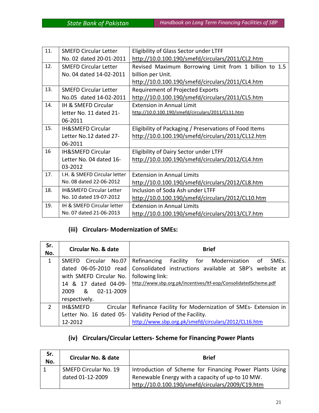| 11. | <b>SMEFD Circular Letter</b>        | Eligibility of Glass Sector under LTFF                 |
|-----|-------------------------------------|--------------------------------------------------------|
|     | No. 02 dated 20-01-2011             | http://10.0.100.190/smefd/circulars/2011/CL2.htm       |
| 12. | <b>SMEFD Circular Letter</b>        | Revised Maximum Borrowing Limit from 1 billion to 1.5  |
|     | No. 04 dated 14-02-2011             | billion per Unit.                                      |
|     |                                     | http://10.0.100.190/smefd/circulars/2011/CL4.htm       |
| 13. | <b>SMEFD Circular Letter</b>        | Requirement of Projected Exports                       |
|     | No.05 dated 14-02-2011              | http://10.0.100.190/smefd/circulars/2011/CL5.htm       |
| 14. | IH & SMEFD Circular                 | <b>Extension in Annual Limit</b>                       |
|     | letter No. 11 dated 21-             | http://10.0.100.190/smefd/circulars/2011/CL11.htm      |
|     | 06-2011                             |                                                        |
| 15. | <b>IH&amp;SMEFD Circular</b>        | Eligibility of Packaging / Preservations of Food Items |
|     | Letter No.12 dated 27-              | http://10.0.100.190/smefd/circulars/2011/CL12.htm      |
|     | 06-2011                             |                                                        |
| 16  | <b>IH&amp;SMEFD Circular</b>        | Eligibility of Dairy Sector under LTFF                 |
|     | Letter No. 04 dated 16-             | http://10.0.100.190/smefd/circulars/2012/CL4.htm       |
|     | 03-2012                             |                                                        |
| 17. | I.H. & SMEFD Circular letter        | <b>Extension in Annual Limits</b>                      |
|     | No. 08 dated 22-06-2012             | http://10.0.100.190/smefd/circulars/2012/CL8.htm       |
| 18. | <b>IH&amp;SMEFD Circular Letter</b> | Inclusion of Soda Ash under LTFF                       |
|     | No. 10 dated 19-07-2012             | http://10.0.100.190/smefd/circulars/2012/CL10.htm      |
| 19. | IH & SMEFD Circular letter          | <b>Extension in Annual Limits</b>                      |
|     | No. 07 dated 21-06-2013             | http://10.0.100.190/smefd/circulars/2013/CL7.htm       |

#### **(iii) Circulars‐ Modernization of SMEs:**

| Sr.<br>No.   | <b>Circular No. &amp; date</b>  | <b>Brief</b>                                                                    |
|--------------|---------------------------------|---------------------------------------------------------------------------------|
| $\mathbf{1}$ | Circular No.07<br><b>SMEFD</b>  | Refinancing Facility for Modernization of<br>SME <sub>s</sub> .                 |
|              |                                 | dated 06-05-2010 read   Consolidated instructions available at SBP's website at |
|              | with SMEFD Circular No.         | following link:                                                                 |
|              | 14 & 17 dated 04-09-            | http://www.sbp.org.pk/incentives/ltf-eop/ConsolidatedScheme.pdf                 |
|              | 2009 & 02-11-2009               |                                                                                 |
|              | respectively.                   |                                                                                 |
| 2            | <b>IH&amp;SMEFD</b><br>Circular | Refinance Facility for Modernization of SMEs- Extension in                      |
|              | Letter No. 16 dated 05-         | Validity Period of the Facility.                                                |
|              | 12-2012                         | http://www.sbp.org.pk/smefd/circulars/2012/CL16.htm                             |

#### **(iv) Circulars/Circular Letters‐ Scheme for Financing Power Plants**

| Sr.<br>No. | <b>Circular No. &amp; date</b> | <b>Brief</b>                                            |
|------------|--------------------------------|---------------------------------------------------------|
|            | <b>SMEFD Circular No. 19</b>   | Introduction of Scheme for Financing Power Plants Using |
|            | dated 01-12-2009               | Renewable Energy with a capacity of up-to 10 MW.        |
|            |                                | http://10.0.100.190/smefd/circulars/2009/C19.htm        |